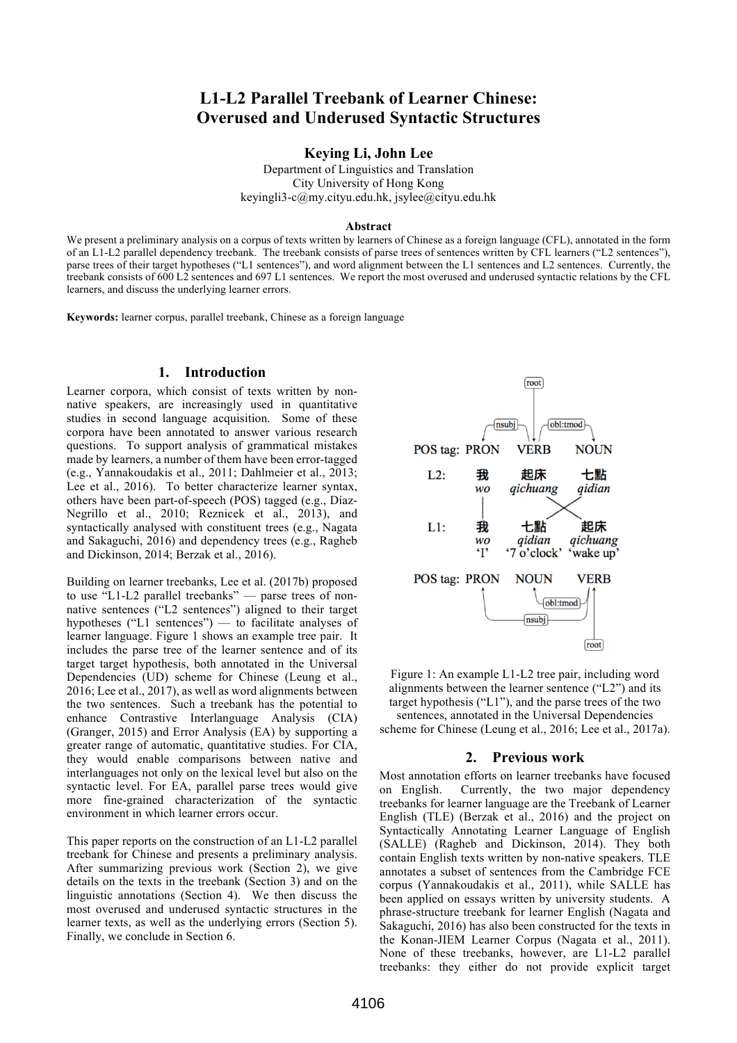# **L1-L2 Parallel Treebank of Learner Chinese: Overused and Underused Syntactic Structures**

**Keying Li, John Lee**

Department of Linguistics and Translation City University of Hong Kong keyingli3-c@my.cityu.edu.hk, jsylee@cityu.edu.hk

#### **Abstract**

We present a preliminary analysis on a corpus of texts written by learners of Chinese as a foreign language (CFL), annotated in the form of an L1-L2 parallel dependency treebank. The treebank consists of parse trees of sentences written by CFL learners ("L2 sentences"), parse trees of their target hypotheses ("L1 sentences"), and word alignment between the L1 sentences and L2 sentences. Currently, the treebank consists of 600 L2 sentences and 697 L1 sentences. We report the most overused and underused syntactic relations by the CFL learners, and discuss the underlying learner errors.

**Keywords:** learner corpus, parallel treebank, Chinese as a foreign language

#### **1. Introduction**

Learner corpora, which consist of texts written by nonnative speakers, are increasingly used in quantitative studies in second language acquisition. Some of these corpora have been annotated to answer various research questions. To support analysis of grammatical mistakes made by learners, a number of them have been error-tagged (e.g., Yannakoudakis et al., 2011; Dahlmeier et al., 2013; Lee et al., 2016). To better characterize learner syntax, others have been part-of-speech (POS) tagged (e.g., Díaz-Negrillo et al., 2010; Reznicek et al., 2013), and syntactically analysed with constituent trees (e.g., Nagata and Sakaguchi, 2016) and dependency trees (e.g., Ragheb and Dickinson, 2014; Berzak et al., 2016).

Building on learner treebanks, Lee et al. (2017b) proposed to use "L1-L2 parallel treebanks" — parse trees of nonnative sentences ("L2 sentences") aligned to their target hypotheses ("L1 sentences") — to facilitate analyses of learner language. Figure 1 shows an example tree pair. It includes the parse tree of the learner sentence and of its target target hypothesis, both annotated in the Universal Dependencies (UD) scheme for Chinese (Leung et al., 2016; Lee et al., 2017), as well as word alignments between the two sentences. Such a treebank has the potential to enhance Contrastive Interlanguage Analysis (CIA) (Granger, 2015) and Error Analysis (EA) by supporting a greater range of automatic, quantitative studies. For CIA, they would enable comparisons between native and interlanguages not only on the lexical level but also on the syntactic level. For EA, parallel parse trees would give more fine-grained characterization of the syntactic environment in which learner errors occur.

This paper reports on the construction of an L1-L2 parallel treebank for Chinese and presents a preliminary analysis. After summarizing previous work (Section 2), we give details on the texts in the treebank (Section 3) and on the linguistic annotations (Section 4). We then discuss the most overused and underused syntactic structures in the learner texts, as well as the underlying errors (Section 5). Finally, we conclude in Section 6.



Figure 1: An example L1-L2 tree pair, including word alignments between the learner sentence ("L2") and its target hypothesis ("L1"), and the parse trees of the two

sentences, annotated in the Universal Dependencies scheme for Chinese (Leung et al., 2016; Lee et al., 2017a).

#### **2. Previous work**

Most annotation efforts on learner treebanks have focused on English. Currently, the two major dependency treebanks for learner language are the Treebank of Learner English (TLE) (Berzak et al., 2016) and the project on Syntactically Annotating Learner Language of English (SALLE) (Ragheb and Dickinson, 2014). They both contain English texts written by non-native speakers. TLE annotates a subset of sentences from the Cambridge FCE corpus (Yannakoudakis et al., 2011), while SALLE has been applied on essays written by university students. A phrase-structure treebank for learner English (Nagata and Sakaguchi, 2016) has also been constructed for the texts in the Konan-JIEM Learner Corpus (Nagata et al., 2011). None of these treebanks, however, are L1-L2 parallel treebanks: they either do not provide explicit target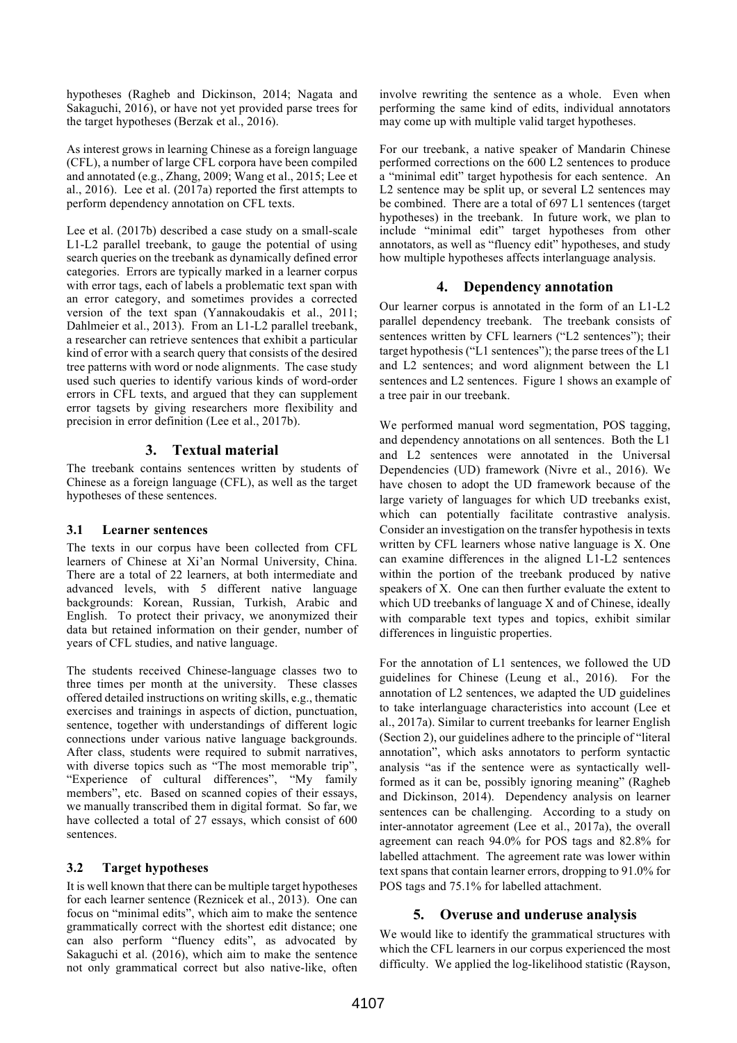hypotheses (Ragheb and Dickinson, 2014; Nagata and Sakaguchi, 2016), or have not yet provided parse trees for the target hypotheses (Berzak et al., 2016).

As interest grows in learning Chinese as a foreign language (CFL), a number of large CFL corpora have been compiled and annotated (e.g., Zhang, 2009; Wang et al., 2015; Lee et al., 2016). Lee et al. (2017a) reported the first attempts to perform dependency annotation on CFL texts.

Lee et al. (2017b) described a case study on a small-scale L1-L2 parallel treebank, to gauge the potential of using search queries on the treebank as dynamically defined error categories. Errors are typically marked in a learner corpus with error tags, each of labels a problematic text span with an error category, and sometimes provides a corrected version of the text span (Yannakoudakis et al., 2011; Dahlmeier et al., 2013). From an L1-L2 parallel treebank, a researcher can retrieve sentences that exhibit a particular kind of error with a search query that consists of the desired tree patterns with word or node alignments. The case study used such queries to identify various kinds of word-order errors in CFL texts, and argued that they can supplement error tagsets by giving researchers more flexibility and precision in error definition (Lee et al., 2017b).

### **3. Textual material**

The treebank contains sentences written by students of Chinese as a foreign language (CFL), as well as the target hypotheses of these sentences.

### **3.1 Learner sentences**

The texts in our corpus have been collected from CFL learners of Chinese at Xi'an Normal University, China. There are a total of 22 learners, at both intermediate and advanced levels, with 5 different native language backgrounds: Korean, Russian, Turkish, Arabic and English. To protect their privacy, we anonymized their data but retained information on their gender, number of years of CFL studies, and native language.

The students received Chinese-language classes two to three times per month at the university. These classes offered detailed instructions on writing skills, e.g., thematic exercises and trainings in aspects of diction, punctuation, sentence, together with understandings of different logic connections under various native language backgrounds. After class, students were required to submit narratives, with diverse topics such as "The most memorable trip", "Experience of cultural differences", "My family members", etc. Based on scanned copies of their essays, we manually transcribed them in digital format. So far, we have collected a total of 27 essays, which consist of 600 sentences.

### **3.2 Target hypotheses**

It is well known that there can be multiple target hypotheses for each learner sentence (Reznicek et al., 2013). One can focus on "minimal edits", which aim to make the sentence grammatically correct with the shortest edit distance; one can also perform "fluency edits", as advocated by Sakaguchi et al. (2016), which aim to make the sentence not only grammatical correct but also native-like, often

involve rewriting the sentence as a whole. Even when performing the same kind of edits, individual annotators may come up with multiple valid target hypotheses.

For our treebank, a native speaker of Mandarin Chinese performed corrections on the 600 L2 sentences to produce a "minimal edit" target hypothesis for each sentence. An L2 sentence may be split up, or several L2 sentences may be combined. There are a total of 697 L1 sentences (target hypotheses) in the treebank. In future work, we plan to include "minimal edit" target hypotheses from other annotators, as well as "fluency edit" hypotheses, and study how multiple hypotheses affects interlanguage analysis.

### **4. Dependency annotation**

Our learner corpus is annotated in the form of an L1-L2 parallel dependency treebank. The treebank consists of sentences written by CFL learners ("L2 sentences"); their target hypothesis ("L1 sentences"); the parse trees of the L1 and L2 sentences; and word alignment between the L1 sentences and L2 sentences. Figure 1 shows an example of a tree pair in our treebank.

We performed manual word segmentation, POS tagging, and dependency annotations on all sentences. Both the L1 and L2 sentences were annotated in the Universal Dependencies (UD) framework (Nivre et al., 2016). We have chosen to adopt the UD framework because of the large variety of languages for which UD treebanks exist, which can potentially facilitate contrastive analysis. Consider an investigation on the transfer hypothesis in texts written by CFL learners whose native language is X. One can examine differences in the aligned L1-L2 sentences within the portion of the treebank produced by native speakers of X. One can then further evaluate the extent to which UD treebanks of language X and of Chinese, ideally with comparable text types and topics, exhibit similar differences in linguistic properties.

For the annotation of L1 sentences, we followed the UD guidelines for Chinese (Leung et al., 2016). For the annotation of L2 sentences, we adapted the UD guidelines to take interlanguage characteristics into account (Lee et al., 2017a). Similar to current treebanks for learner English (Section 2), our guidelines adhere to the principle of "literal annotation", which asks annotators to perform syntactic analysis "as if the sentence were as syntactically wellformed as it can be, possibly ignoring meaning" (Ragheb and Dickinson, 2014). Dependency analysis on learner sentences can be challenging. According to a study on inter-annotator agreement (Lee et al., 2017a), the overall agreement can reach 94.0% for POS tags and 82.8% for labelled attachment. The agreement rate was lower within text spans that contain learner errors, dropping to 91.0% for POS tags and 75.1% for labelled attachment.

### **5. Overuse and underuse analysis**

We would like to identify the grammatical structures with which the CFL learners in our corpus experienced the most difficulty. We applied the log-likelihood statistic (Rayson,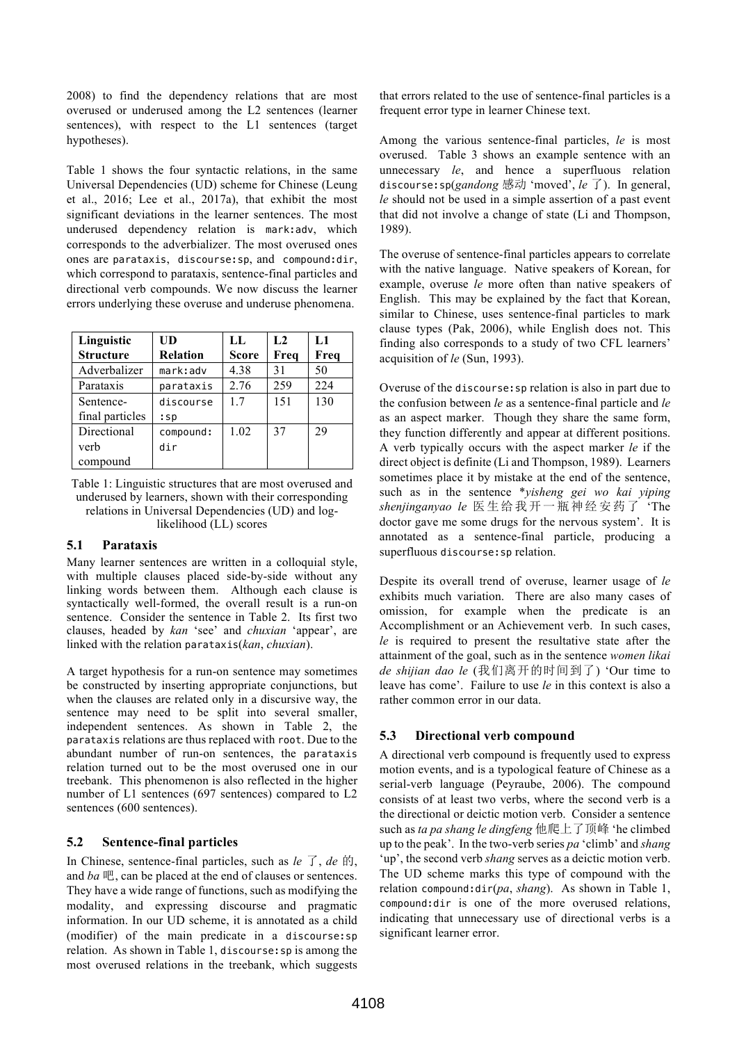2008) to find the dependency relations that are most overused or underused among the L2 sentences (learner sentences), with respect to the L1 sentences (target hypotheses).

Table 1 shows the four syntactic relations, in the same Universal Dependencies (UD) scheme for Chinese (Leung et al., 2016; Lee et al., 2017a), that exhibit the most significant deviations in the learner sentences. The most underused dependency relation is mark:adv, which corresponds to the adverbializer. The most overused ones ones are parataxis, discourse:sp, and compound:dir, which correspond to parataxis, sentence-final particles and directional verb compounds. We now discuss the learner errors underlying these overuse and underuse phenomena.

| Linguistic       | UD              | LL.          | L <sub>2</sub> | L1   |
|------------------|-----------------|--------------|----------------|------|
| <b>Structure</b> | <b>Relation</b> | <b>Score</b> | Freq           | Freq |
| Adverbalizer     | mark:adv        | 4.38         | 31             | 50   |
| Parataxis        | parataxis       | 2.76         | 259            | 224  |
| Sentence-        | discourse       | 17           | 151            | 130  |
| final particles  | $:$ Sp          |              |                |      |
| Directional      | compound:       | 1.02         | 37             | 29   |
| verb             | dir             |              |                |      |
| compound         |                 |              |                |      |

Table 1: Linguistic structures that are most overused and underused by learners, shown with their corresponding relations in Universal Dependencies (UD) and loglikelihood (LL) scores

### **5.1 Parataxis**

Many learner sentences are written in a colloquial style, with multiple clauses placed side-by-side without any linking words between them. Although each clause is syntactically well-formed, the overall result is a run-on sentence. Consider the sentence in Table 2. Its first two clauses, headed by *kan* 'see' and *chuxian* 'appear', are linked with the relation parataxis(*kan*, *chuxian*).

A target hypothesis for a run-on sentence may sometimes be constructed by inserting appropriate conjunctions, but when the clauses are related only in a discursive way, the sentence may need to be split into several smaller, independent sentences. As shown in Table 2, the parataxis relations are thus replaced with root. Due to the abundant number of run-on sentences, the parataxis relation turned out to be the most overused one in our treebank. This phenomenon is also reflected in the higher number of L1 sentences (697 sentences) compared to L2 sentences (600 sentences).

# **5.2 Sentence-final particles**

In Chinese, sentence-final particles, such as *le* 了, *de* 的, and *ba* 吧, can be placed at the end of clauses or sentences. They have a wide range of functions, such as modifying the modality, and expressing discourse and pragmatic information. In our UD scheme, it is annotated as a child (modifier) of the main predicate in a discourse:sp relation. As shown in Table 1, discourse:sp is among the most overused relations in the treebank, which suggests that errors related to the use of sentence-final particles is a frequent error type in learner Chinese text.

Among the various sentence-final particles, *le* is most overused. Table 3 shows an example sentence with an unnecessary *le*, and hence a superfluous relation discourse:sp(*gandong* 感动 'moved', *le* 了). In general, *le* should not be used in a simple assertion of a past event that did not involve a change of state (Li and Thompson, 1989).

The overuse of sentence-final particles appears to correlate with the native language. Native speakers of Korean, for example, overuse *le* more often than native speakers of English. This may be explained by the fact that Korean, similar to Chinese, uses sentence-final particles to mark clause types (Pak, 2006), while English does not. This finding also corresponds to a study of two CFL learners' acquisition of *le* (Sun, 1993).

Overuse of the discourse:sp relation is also in part due to the confusion between *le* as a sentence-final particle and *le* as an aspect marker. Though they share the same form, they function differently and appear at different positions. A verb typically occurs with the aspect marker *le* if the direct object is definite (Li and Thompson, 1989). Learners sometimes place it by mistake at the end of the sentence, such as in the sentence \**yisheng gei wo kai yiping shenjinganyao le* 医生给我开一瓶神经安药了 'The doctor gave me some drugs for the nervous system'. It is annotated as a sentence-final particle, producing a superfluous discourse:sp relation.

Despite its overall trend of overuse, learner usage of *le* exhibits much variation. There are also many cases of omission, for example when the predicate is an Accomplishment or an Achievement verb. In such cases, *le* is required to present the resultative state after the attainment of the goal, such as in the sentence *women likai de shijian dao le* (我们离开的时间到了) 'Our time to leave has come'. Failure to use *le* in this context is also a rather common error in our data.

# **5.3 Directional verb compound**

A directional verb compound is frequently used to express motion events, and is a typological feature of Chinese as a serial-verb language (Peyraube, 2006). The compound consists of at least two verbs, where the second verb is a the directional or deictic motion verb. Consider a sentence such as *ta pa shang le dingfeng* 他爬上了顶峰 'he climbed up to the peak'. In the two-verb series *pa* 'climb' and *shang* 'up', the second verb *shang* serves as a deictic motion verb. The UD scheme marks this type of compound with the relation compound:dir(*pa*, *shang*). As shown in Table 1, compound:dir is one of the more overused relations, indicating that unnecessary use of directional verbs is a significant learner error.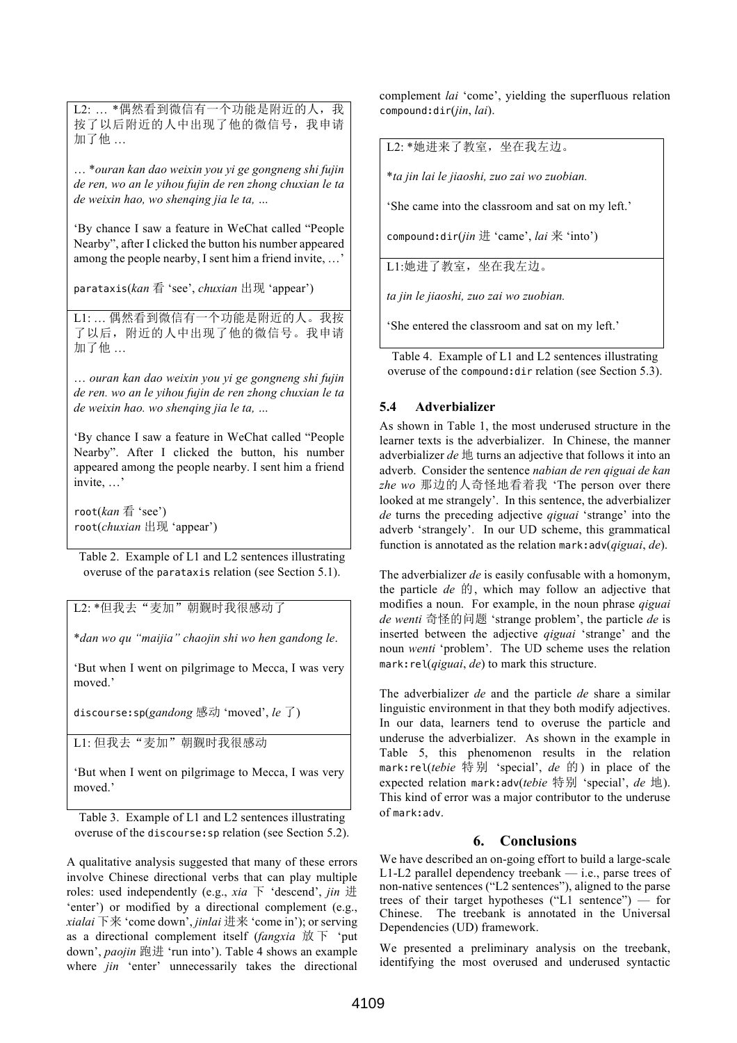L2: ... \*偶然看到微信有一个功能是附近的人, 我 按了以后附近的人中出现了他的微信号,我申请 加了他 …

… \**ouran kan dao weixin you yi ge gongneng shi fujin de ren, wo an le yihou fujin de ren zhong chuxian le ta de weixin hao, wo shenqing jia le ta, …*

'By chance I saw a feature in WeChat called "People Nearby", after I clicked the button his number appeared among the people nearby, I sent him a friend invite, …'

parataxis(*kan* 看 'see', *chuxian* 出现 'appear')

L1: … 偶然看到微信有一个功能是附近的人。我按 了以后,附近的人中出现了他的微信号。我申请 加了他 …

… *ouran kan dao weixin you yi ge gongneng shi fujin de ren. wo an le yihou fujin de ren zhong chuxian le ta de weixin hao. wo shenqing jia le ta, …*

'By chance I saw a feature in WeChat called "People Nearby". After I clicked the button, his number appeared among the people nearby. I sent him a friend invite, …'

root(*kan* 看 'see') root(*chuxian* 出现 'appear')

Table 2. Example of L1 and L2 sentences illustrating overuse of the parataxis relation (see Section 5.1).

L2: \*但我去"麦加"朝觐时我很感动了

\**dan wo qu "maijia" chaojin shi wo hen gandong le*.

'But when I went on pilgrimage to Mecca, I was very moved.'

discourse:sp(*gandong* 感动 'moved', *le* 了)

L1: 但我去"麦加"朝觐时我很感动

'But when I went on pilgrimage to Mecca, I was very moved.'

Table 3. Example of L1 and L2 sentences illustrating overuse of the discourse:sp relation (see Section 5.2).

A qualitative analysis suggested that many of these errors involve Chinese directional verbs that can play multiple roles: used independently (e.g., *xia* 下 'descend', *jin* 进 'enter') or modified by a directional complement (e.g., *xialai* 下来 'come down', *jinlai* 进来 'come in'); or serving as a directional complement itself (*fangxia* 放 下 'put down', *paojin* 跑进 'run into'). Table 4 shows an example where *jin* 'enter' unnecessarily takes the directional complement *lai* 'come', yielding the superfluous relation compound:dir(*jin*, *lai*).

L2: \*她进来了教室,坐在我左边。

\**ta jin lai le jiaoshi, zuo zai wo zuobian.*

'She came into the classroom and sat on my left.'

compound:dir(*jin* 进 'came', *lai* 来 'into')

L1:她进了教室,坐在我左边。

*ta jin le jiaoshi, zuo zai wo zuobian.*

'She entered the classroom and sat on my left.'

Table 4. Example of L1 and L2 sentences illustrating overuse of the compound:dir relation (see Section 5.3).

# **5.4 Adverbializer**

As shown in Table 1, the most underused structure in the learner texts is the adverbializer. In Chinese, the manner adverbializer *de* 地 turns an adjective that follows it into an adverb. Consider the sentence *nabian de ren qiguai de kan zhe wo* 那边的人奇怪地看着我 'The person over there looked at me strangely'. In this sentence, the adverbializer *de* turns the preceding adjective *qiguai* 'strange' into the adverb 'strangely'. In our UD scheme, this grammatical function is annotated as the relation mark:adv(*qiguai*, *de*).

The adverbializer *de* is easily confusable with a homonym, the particle *de* 的, which may follow an adjective that modifies a noun. For example, in the noun phrase *qiguai de wenti* 奇怪的问题 'strange problem', the particle *de* is inserted between the adjective *qiguai* 'strange' and the noun *wenti* 'problem'. The UD scheme uses the relation mark:rel(*qiguai*, *de*) to mark this structure.

The adverbializer *de* and the particle *de* share a similar linguistic environment in that they both modify adjectives. In our data, learners tend to overuse the particle and underuse the adverbializer. As shown in the example in Table 5, this phenomenon results in the relation mark:rel(*tebie* 特别 'special', *de* 的) in place of the expected relation mark:adv(*tebie* 特别 'special', *de* 地). This kind of error was a major contributor to the underuse of mark:adv.

# **6. Conclusions**

We have described an on-going effort to build a large-scale L1-L2 parallel dependency treebank — i.e., parse trees of non-native sentences ("L2 sentences"), aligned to the parse trees of their target hypotheses ("L1 sentence") — for Chinese. The treebank is annotated in the Universal Dependencies (UD) framework.

We presented a preliminary analysis on the treebank, identifying the most overused and underused syntactic